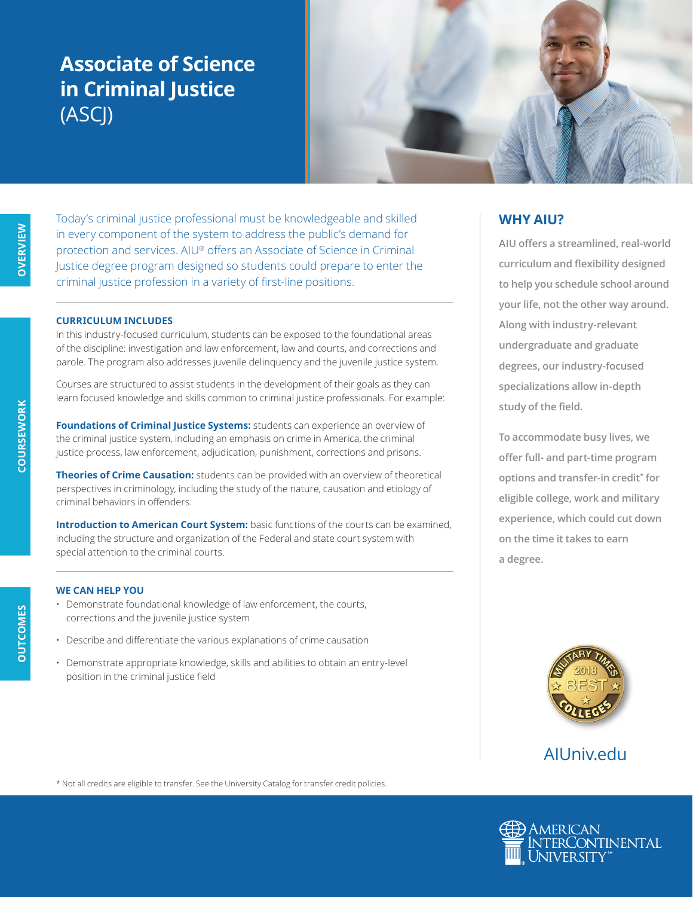## **Associate of Science in Criminal Justice** (ASCJ)



Today's criminal justice professional must be knowledgeable and skilled in every component of the system to address the public's demand for protection and services. AIU® offers an Associate of Science in Criminal Justice degree program designed so students could prepare to enter the criminal justice profession in a variety of first-line positions.

#### **CURRICULUM INCLUDES**

In this industry-focused curriculum, students can be exposed to the foundational areas of the discipline: investigation and law enforcement, law and courts, and corrections and parole. The program also addresses juvenile delinquency and the juvenile justice system.

Courses are structured to assist students in the development of their goals as they can learn focused knowledge and skills common to criminal justice professionals. For example:

**Foundations of Criminal Justice Systems:** students can experience an overview of the criminal justice system, including an emphasis on crime in America, the criminal justice process, law enforcement, adjudication, punishment, corrections and prisons.

**Theories of Crime Causation:** students can be provided with an overview of theoretical perspectives in criminology, including the study of the nature, causation and etiology of criminal behaviors in offenders.

**Introduction to American Court System:** basic functions of the courts can be examined, including the structure and organization of the Federal and state court system with special attention to the criminal courts.

#### **WE CAN HELP YOU**

- Demonstrate foundational knowledge of law enforcement, the courts, corrections and the juvenile justice system
- Describe and differentiate the various explanations of crime causation
- Demonstrate appropriate knowledge, skills and abilities to obtain an entry-level position in the criminal justice field

### **WHY AIU?**

**AIU offers a streamlined, real-world curriculum and flexibility designed to help you schedule school around your life, not the other way around. Along with industry-relevant undergraduate and graduate degrees, our industry-focused specializations allow in-depth study of the field.**

**To accommodate busy lives, we offer full- and part-time program options and transfer-in credit\* for eligible college, work and military experience, which could cut down on the time it takes to earn a degree.**



### AIUniv.edu

\* Not all credits are eligible to transfer. See the University Catalog for transfer credit policies.